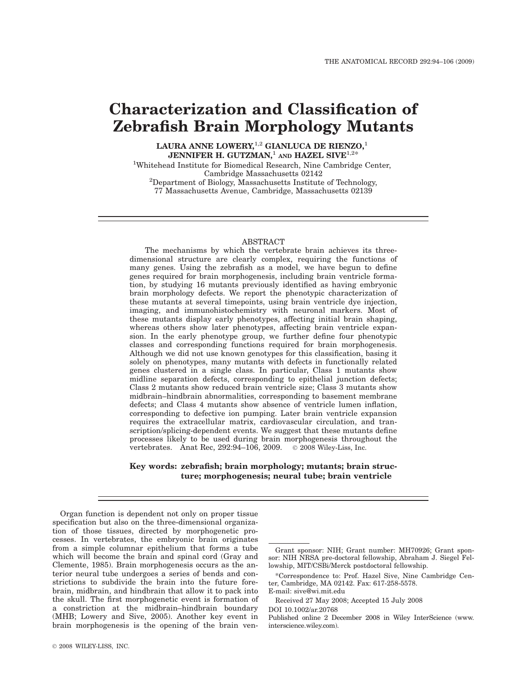# Characterization and Classification of Zebrafish Brain Morphology Mutants

LAURA ANNE LOWERY,<sup>1,2</sup> GIANLUCA DE RIENZO,<sup>1</sup> JENNIFER H. GUTZMAN,<sup>1</sup> AND HAZEL SIVE<sup>1,2\*</sup>

<sup>1</sup>Whitehead Institute for Biomedical Research, Nine Cambridge Center, Cambridge Massachusetts 02142<br><sup>2</sup>Department of Biology, Massachusetts Institute of Technology, 77 Massachusetts Avenue, Cambridge, Massachusetts 02139

## ABSTRACT

The mechanisms by which the vertebrate brain achieves its threedimensional structure are clearly complex, requiring the functions of many genes. Using the zebrafish as a model, we have begun to define genes required for brain morphogenesis, including brain ventricle formation, by studying 16 mutants previously identified as having embryonic brain morphology defects. We report the phenotypic characterization of these mutants at several timepoints, using brain ventricle dye injection, imaging, and immunohistochemistry with neuronal markers. Most of these mutants display early phenotypes, affecting initial brain shaping, whereas others show later phenotypes, affecting brain ventricle expansion. In the early phenotype group, we further define four phenotypic classes and corresponding functions required for brain morphogenesis. Although we did not use known genotypes for this classification, basing it solely on phenotypes, many mutants with defects in functionally related genes clustered in a single class. In particular, Class 1 mutants show midline separation defects, corresponding to epithelial junction defects; Class 2 mutants show reduced brain ventricle size; Class 3 mutants show midbrain–hindbrain abnormalities, corresponding to basement membrane defects; and Class 4 mutants show absence of ventricle lumen inflation, corresponding to defective ion pumping. Later brain ventricle expansion requires the extracellular matrix, cardiovascular circulation, and transcription/splicing-dependent events. We suggest that these mutants define processes likely to be used during brain morphogenesis throughout the vertebrates. Anat Rec, 292:94-106, 2009. 2008 Wiley-Liss, Inc.

# Key words: zebrafish; brain morphology; mutants; brain structure; morphogenesis; neural tube; brain ventricle

Organ function is dependent not only on proper tissue specification but also on the three-dimensional organization of those tissues, directed by morphogenetic processes. In vertebrates, the embryonic brain originates from a simple columnar epithelium that forms a tube which will become the brain and spinal cord (Gray and Clemente, 1985). Brain morphogenesis occurs as the anterior neural tube undergoes a series of bends and constrictions to subdivide the brain into the future forebrain, midbrain, and hindbrain that allow it to pack into the skull. The first morphogenetic event is formation of a constriction at the midbrain–hindbrain boundary (MHB; Lowery and Sive, 2005). Another key event in brain morphogenesis is the opening of the brain ven-

\*Correspondence to: Prof. Hazel Sive, Nine Cambridge Center, Cambridge, MA 02142. Fax: 617-258-5578.

E-mail: sive@wi.mit.edu

DOI 10.1002/ar.20768

Published online 2 December 2008 in Wiley InterScience (www. interscience.wiley.com).

Grant sponsor: NIH; Grant number: MH70926; Grant sponsor: NIH NRSA pre-doctoral fellowship, Abraham J. Siegel Fellowship, MIT/CSBi/Merck postdoctoral fellowship.

Received 27 May 2008; Accepted 15 July 2008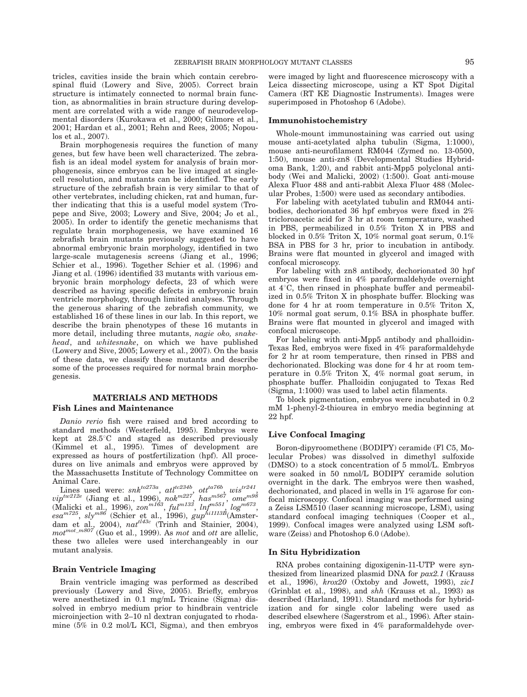tricles, cavities inside the brain which contain cerebrospinal fluid (Lowery and Sive, 2005). Correct brain structure is intimately connected to normal brain function, as abnormalities in brain structure during development are correlated with a wide range of neurodevelopmental disorders (Kurokawa et al., 2000; Gilmore et al., 2001; Hardan et al., 2001; Rehn and Rees, 2005; Nopoulos et al., 2007).

Brain morphogenesis requires the function of many genes, but few have been well characterized. The zebrafish is an ideal model system for analysis of brain morphogenesis, since embryos can be live imaged at singlecell resolution, and mutants can be identified. The early structure of the zebrafish brain is very similar to that of other vertebrates, including chicken, rat and human, further indicating that this is a useful model system (Tropepe and Sive, 2003; Lowery and Sive, 2004; Jo et al., 2005). In order to identify the genetic mechanisms that regulate brain morphogenesis, we have examined 16 zebrafish brain mutants previously suggested to have abnormal embryonic brain morphology, identified in two large-scale mutagenesis screens (Jiang et al., 1996; Schier et al., 1996). Together Schier et al. (1996) and Jiang et al. (1996) identified 33 mutants with various embryonic brain morphology defects, 23 of which were described as having specific defects in embryonic brain ventricle morphology, through limited analyses. Through the generous sharing of the zebrafish community, we established 16 of these lines in our lab. In this report, we describe the brain phenotypes of these 16 mutants in more detail, including three mutants, nagie oko, snakehead, and whitesnake, on which we have published (Lowery and Sive, 2005; Lowery et al., 2007). On the basis of these data, we classify these mutants and describe some of the processes required for normal brain morphogenesis.

# MATERIALS AND METHODS Fish Lines and Maintenance

Danio rerio fish were raised and bred according to standard methods (Westerfield, 1995). Embryos were kept at  $28.5^{\circ}$ C and staged as described previously (Kimmel et al., 1995). Times of development are expressed as hours of postfertilization (hpf). All procedures on live animals and embryos were approved by the Massachusetts Institute of Technology Committee on

Animal Care.<br>Lines used were:  $snk^{to273a}$ ,  $at l^{tc234b}$ ,  $ot l^{ta76b}$ ,  $wis^{tr241}$ ,  $vip^{tw212e}$  (Jiang et al., 1996), nok $^{m227'}$ , has $^{m567}$ , ome $^{m98}$ (Malicki et al., 1996),  $zon^{m163}$ ,  $ful^{m133}$ ,  $ln\ell^{m551}$ ,  $log^{m673}$ ,  $e$ sa $^{m725}$ , sly $^{m86}$  (Schier et al., 1996),  $\textit{gup}^{hi1113B}$ (Amsterdam et al., 2004),  $nat^{t143c}$  (Trinh and Stainier, 2004),  $mot^{mot\_m807}$  (Guo et al., 1999). As mot and ott are allelic, these two alleles were used interchangeably in our mutant analysis.

# Brain Ventricle Imaging

Brain ventricle imaging was performed as described previously (Lowery and Sive, 2005). Briefly, embryos were anesthetized in 0.1 mg/mL Tricaine (Sigma) dissolved in embryo medium prior to hindbrain ventricle microinjection with 2–10 nl dextran conjugated to rhodamine (5% in 0.2 mol/L KCl, Sigma), and then embryos

were imaged by light and fluorescence microscopy with a Leica dissecting microscope, using a KT Spot Digital Camera (RT KE Diagnostic Instruments). Images were superimposed in Photoshop 6 (Adobe).

# Immunohistochemistry

Whole-mount immunostaining was carried out using mouse anti-acetylated alpha tubulin (Sigma, 1:1000), mouse anti-neurofilament RM044 (Zymed no. 13-0500, 1:50), mouse anti-zn8 (Developmental Studies Hybridoma Bank, 1:20), and rabbit anti-Mpp5 polyclonal antibody (Wei and Malicki, 2002) (1:500). Goat anti-mouse Alexa Fluor 488 and anti-rabbit Alexa Fluor 488 (Molecular Probes, 1:500) were used as secondary antibodies.

For labeling with acetylated tubulin and RM044 antibodies, dechorionated 36 hpf embryos were fixed in 2% tricloroacetic acid for 3 hr at room temperature, washed in PBS, permeabilized in 0.5% Triton X in PBS and blocked in 0.5% Triton X, 10% normal goat serum, 0.1% BSA in PBS for 3 hr, prior to incubation in antibody. Brains were flat mounted in glycerol and imaged with confocal microscopy.

For labeling with zn8 antibody, dechorionated 30 hpf embryos were fixed in 4% paraformaldehyde overnight at  $4^{\circ}$ C, then rinsed in phosphate buffer and permeabilized in 0.5% Triton X in phosphate buffer. Blocking was done for 4 hr at room temperature in 0.5% Triton X, 10% normal goat serum, 0.1% BSA in phosphate buffer. Brains were flat mounted in glycerol and imaged with confocal microscope.

For labeling with anti-Mpp5 antibody and phalloidin-Texas Red, embryos were fixed in 4% paraformaldehyde for 2 hr at room temperature, then rinsed in PBS and dechorionated. Blocking was done for 4 hr at room temperature in 0.5% Triton X, 4% normal goat serum, in phosphate buffer. Phalloidin conjugated to Texas Red (Sigma, 1:1000) was used to label actin filaments.

To block pigmentation, embryos were incubated in 0.2 mM 1-phenyl-2-thiourea in embryo media beginning at 22 hpf.

# Live Confocal Imaging

Boron-dipyroomethene (BODIPY) ceramide (Fl C5, Molecular Probes) was dissolved in dimethyl sulfoxide (DMSO) to a stock concentration of 5 mmol/L. Embryos were soaked in 50 nmol/L BODIPY ceramide solution overnight in the dark. The embryos were then washed, dechorionated, and placed in wells in 1% agarose for confocal microscopy. Confocal imaging was performed using a Zeiss LSM510 (laser scanning microscope, LSM), using standard confocal imaging techniques (Cooper et al., 1999). Confocal images were analyzed using LSM software (Zeiss) and Photoshop 6.0 (Adobe).

#### In Situ Hybridization

RNA probes containing digoxigenin-11-UTP were synthesized from linearized plasmid DNA for pax2.1 (Krauss et al., 1996), krox20 (Oxtoby and Jowett, 1993), zic1 (Grinblat et al., 1998), and shh (Krauss et al., 1993) as described (Harland, 1991). Standard methods for hybridization and for single color labeling were used as described elsewhere (Sagerstrom et al., 1996). After staining, embryos were fixed in 4% paraformaldehyde over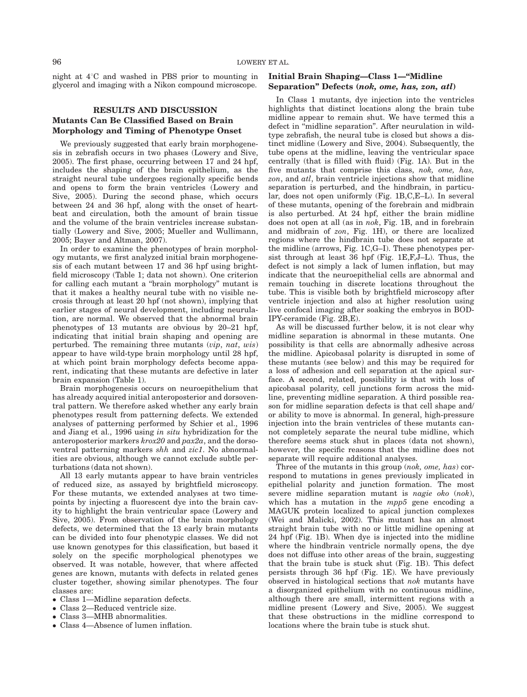night at  $4^{\circ}$ C and washed in PBS prior to mounting in glycerol and imaging with a Nikon compound microscope.

# RESULTS AND DISCUSSION Mutants Can Be Classified Based on Brain Morphology and Timing of Phenotype Onset

We previously suggested that early brain morphogenesis in zebrafish occurs in two phases (Lowery and Sive, 2005). The first phase, occurring between 17 and 24 hpf, includes the shaping of the brain epithelium, as the straight neural tube undergoes regionally specific bends and opens to form the brain ventricles (Lowery and Sive, 2005). During the second phase, which occurs between 24 and 36 hpf, along with the onset of heartbeat and circulation, both the amount of brain tissue and the volume of the brain ventricles increase substantially (Lowery and Sive, 2005; Mueller and Wullimann, 2005; Bayer and Altman, 2007).

In order to examine the phenotypes of brain morphology mutants, we first analyzed initial brain morphogenesis of each mutant between 17 and 36 hpf using brightfield microscopy (Table 1; data not shown). One criterion for calling each mutant a ''brain morphology'' mutant is that it makes a healthy neural tube with no visible necrosis through at least 20 hpf (not shown), implying that earlier stages of neural development, including neurulation, are normal. We observed that the abnormal brain phenotypes of 13 mutants are obvious by 20–21 hpf, indicating that initial brain shaping and opening are perturbed. The remaining three mutants  $(vip, nat, wis)$ appear to have wild-type brain morphology until 28 hpf, at which point brain morphology defects become apparent, indicating that these mutants are defective in later brain expansion (Table 1).

Brain morphogenesis occurs on neuroepithelium that has already acquired initial anteroposterior and dorsoventral pattern. We therefore asked whether any early brain phenotypes result from patterning defects. We extended analyses of patterning performed by Schier et al., 1996 and Jiang et al., 1996 using in situ hybridization for the anteroposterior markers krox20 and pax2a, and the dorsoventral patterning markers shh and zic1. No abnormalities are obvious, although we cannot exclude subtle perturbations (data not shown).

All 13 early mutants appear to have brain ventricles of reduced size, as assayed by brightfield microscopy. For these mutants, we extended analyses at two timepoints by injecting a fluorescent dye into the brain cavity to highlight the brain ventricular space (Lowery and Sive, 2005). From observation of the brain morphology defects, we determined that the 13 early brain mutants can be divided into four phenotypic classes. We did not use known genotypes for this classification, but based it solely on the specific morphological phenotypes we observed. It was notable, however, that where affected genes are known, mutants with defects in related genes cluster together, showing similar phenotypes. The four classes are:

- Class 1—Midline separation defects.
- Class 2—Reduced ventricle size.
- Class 3—MHB abnormalities.
- Class 4—Absence of lumen inflation.

# Initial Brain Shaping—Class 1—''Midline Separation'' Defects (nok, ome, has, zon, atl)

In Class 1 mutants, dye injection into the ventricles highlights that distinct locations along the brain tube midline appear to remain shut. We have termed this a defect in ''midline separation''. After neurulation in wildtype zebrafish, the neural tube is closed but shows a distinct midline (Lowery and Sive, 2004). Subsequently, the tube opens at the midline, leaving the ventricular space centrally (that is filled with fluid) (Fig. 1A). But in the five mutants that comprise this class, nok, ome, has, zon, and atl, brain ventricle injections show that midline separation is perturbed, and the hindbrain, in particular, does not open uniformly (Fig. 1B,C,E–L). In several of these mutants, opening of the forebrain and midbrain is also perturbed. At 24 hpf, either the brain midline does not open at all (as in nok, Fig. 1B, and in forebrain and midbrain of zon, Fig. 1H), or there are localized regions where the hindbrain tube does not separate at the midline (arrows, Fig. 1C,G–I). These phenotypes persist through at least 36 hpf (Fig. 1E,F,J–L). Thus, the defect is not simply a lack of lumen inflation, but may indicate that the neuroepithelial cells are abnormal and remain touching in discrete locations throughout the tube. This is visible both by brightfield microscopy after ventricle injection and also at higher resolution using live confocal imaging after soaking the embryos in BOD-IPY-ceramide (Fig. 2B,E).

As will be discussed further below, it is not clear why midline separation is abnormal in these mutants. One possibility is that cells are abnormally adhesive across the midline. Apicobasal polarity is disrupted in some of these mutants (see below) and this may be required for a loss of adhesion and cell separation at the apical surface. A second, related, possibility is that with loss of apicobasal polarity, cell junctions form across the midline, preventing midline separation. A third possible reason for midline separation defects is that cell shape and/ or ability to move is abnormal. In general, high-pressure injection into the brain ventricles of these mutants cannot completely separate the neural tube midline, which therefore seems stuck shut in places (data not shown), however, the specific reasons that the midline does not separate will require additional analyses.

Three of the mutants in this group (*nok*, *ome*, *has*) correspond to mutations in genes previously implicated in epithelial polarity and junction formation. The most severe midline separation mutant is *nagie oko* (nok), which has a mutation in the  $mpp5$  gene encoding a MAGUK protein localized to apical junction complexes (Wei and Malicki, 2002). This mutant has an almost straight brain tube with no or little midline opening at 24 hpf (Fig. 1B). When dye is injected into the midline where the hindbrain ventricle normally opens, the dye does not diffuse into other areas of the brain, suggesting that the brain tube is stuck shut (Fig. 1B). This defect persists through 36 hpf (Fig. 1E). We have previously observed in histological sections that nok mutants have a disorganized epithelium with no continuous midline, although there are small, intermittent regions with a midline present (Lowery and Sive, 2005). We suggest that these obstructions in the midline correspond to locations where the brain tube is stuck shut.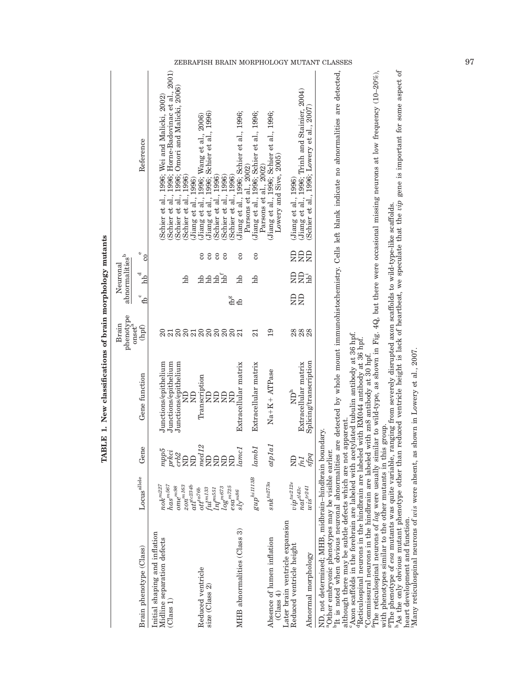| ZEBRAFISH BRAIN MORPHOLOGY MUTANT CLASSES |                                                                        |                         |                                                                                                                                                                               |                                                                                                                                                              |                                                                          |                                                                                            |                                                                    |                                                                       |                                           |                                                                                                                                                                                                                                                                                                                                                                                                                                                                                                                                                                                                                                                                                                                                                                                | 97 |
|-------------------------------------------|------------------------------------------------------------------------|-------------------------|-------------------------------------------------------------------------------------------------------------------------------------------------------------------------------|--------------------------------------------------------------------------------------------------------------------------------------------------------------|--------------------------------------------------------------------------|--------------------------------------------------------------------------------------------|--------------------------------------------------------------------|-----------------------------------------------------------------------|-------------------------------------------|--------------------------------------------------------------------------------------------------------------------------------------------------------------------------------------------------------------------------------------------------------------------------------------------------------------------------------------------------------------------------------------------------------------------------------------------------------------------------------------------------------------------------------------------------------------------------------------------------------------------------------------------------------------------------------------------------------------------------------------------------------------------------------|----|
|                                           |                                                                        | Reference               | Schier et al., 1996; Horne-Badovinac et al., 2001)<br>Schier et al., 1996; Omori and Malicki, 2006)<br>Schier et al., 1996; Wei and Malicki, 2002)<br>1996)<br>Schier et al., | (Jiang et al., 1996)<br>(Jiang et al., 1996; Wang et al., 2006)<br>(Jiang et al., 1996; Schier et al., 1996)<br>Schier et al., 1996)<br>Schier et al., 1996) | Jiang et al., 1996; Schier et al., 1996;<br>Schier et al., 1996)         | Jiang et al., 1996; Schier et al., 1996;<br>Parsons et al., 2002)<br>Parsons et al., 2002) | Jiang et al., 1996; Schier et al., 1996;<br>Lowery and Sive, 2005) | (Jiang et al., 1996; Trinh and Stainier, 2004)<br>Jiang et al., 1996) | Schier et al., 1996; Lowery et al., 2007) | As the only obvious mutant phenotype other than reduced ventricle height is lack of heartbeat, we speculate that the vip gene is important for some aspect of<br>The reticulospinal neurons of log were usually similar to wild-type, as shown in Fig. 4Q, but there were occasional missing neurons at low frequency $(10-20\%)$ ,<br>$^{\text{b}}$ It is noted when obvious neuronal abnormalities are detected by whole mount immunohistochemistry. Cells left blank indicate no abnormalities are detected,                                                                                                                                                                                                                                                                |    |
|                                           | $\mathbb O$                                                            | $\rm{c}$                |                                                                                                                                                                               | $\mathbf{c}$<br>$\rm ^{\rm c}$<br>$\infty$<br>$\rm ^{\rm c}$                                                                                                 | $\rm{c}$                                                                 | $\rm{c}$                                                                                   |                                                                    | <b>ER</b><br>g                                                        |                                           |                                                                                                                                                                                                                                                                                                                                                                                                                                                                                                                                                                                                                                                                                                                                                                                |    |
|                                           | abnormalities <sup>b</sup><br>Neuronal<br>ರ                            | Ъb                      | Иų                                                                                                                                                                            | hb <sup>f</sup><br>dd<br>Ъh<br>dd                                                                                                                            | Ъb                                                                       | hb                                                                                         |                                                                    | 昆昆                                                                    |                                           |                                                                                                                                                                                                                                                                                                                                                                                                                                                                                                                                                                                                                                                                                                                                                                                |    |
|                                           | $\circ$                                                                | கி                      |                                                                                                                                                                               | $\mathbf{f}^{\mathsf{g}}$                                                                                                                                    | £,                                                                       |                                                                                            |                                                                    | ₽₹                                                                    |                                           |                                                                                                                                                                                                                                                                                                                                                                                                                                                                                                                                                                                                                                                                                                                                                                                |    |
|                                           | $\begin{array}{c} \rm{phenotype}\\ \rm{on set}^a \end{array}$<br>Brain | (hpf)                   | $\Omega$<br>$\overline{21}$                                                                                                                                                   | <b>ggaggggag</b>                                                                                                                                             |                                                                          | 21                                                                                         | 19                                                                 | 88<br>88<br>88                                                        |                                           |                                                                                                                                                                                                                                                                                                                                                                                                                                                                                                                                                                                                                                                                                                                                                                                |    |
|                                           |                                                                        | Gene function           | Junctions/epithelium<br>Junctions/epithelium<br>Junctions/epithelium<br>$\Xi$<br>$\Xi$                                                                                        | Transcription<br>$\Xi$<br>$\overline{R}$<br>$\Xi$<br>E                                                                                                       | Extracellular matrix                                                     | Extracellular matrix                                                                       | Na+K+ ATPase                                                       | Extracellular matrix<br>$\mathbf{N} \mathbf{D}^\mathtt{h}$            | Splicing/transcription                    |                                                                                                                                                                                                                                                                                                                                                                                                                                                                                                                                                                                                                                                                                                                                                                                |    |
|                                           |                                                                        | Gene                    | mpp5<br>prkci<br>crb2<br><b>BB</b>                                                                                                                                            | $med12$<br>昆昆<br>$\Xi$                                                                                                                                       | lameI                                                                    | lambda1                                                                                    | atplal                                                             | fn1<br>g                                                              | sfpq                                      |                                                                                                                                                                                                                                                                                                                                                                                                                                                                                                                                                                                                                                                                                                                                                                                |    |
|                                           | $\mathbf{Locus}^{\text{alle}}$                                         |                         | $has^{m567}$<br>$n o k^{m 227}$<br>$zon^{m163}$<br>$at\!t^{cc\!34b}$<br>$\it{ome}^{m98}$                                                                                      | $log_{m725}^{m673}$ esa<br>$\mathit{ful}^{miss}$<br>$_{ott}$ $_{16}$<br>$\inf_{22}$                                                                          | $\ensuremath{\mathrm{s}\ell}\xspace\ensuremath{\mathrm{y}^{m86}}\xspace$ | $\mathit{gup}^{hill13B}$                                                                   | $snk^{to273a}$                                                     | $vip^{tw212e}$<br>$\dot{n \dot{a}} t^{t43c}$                          | $wis^{tr241}$                             |                                                                                                                                                                                                                                                                                                                                                                                                                                                                                                                                                                                                                                                                                                                                                                                |    |
|                                           |                                                                        | Brain phenotype (Class) | Initial shaping and inflation<br>Midline separation defects<br>(Class 1)                                                                                                      | Reduced ventricle<br>size $(Class 2)$                                                                                                                        | MHB abnormalities (Class 3)                                              |                                                                                            | Absence of lumen inflation<br>$\left(\text{Class } 4\right)$       | Later brain ventricle expansion<br>Reduced ventricle height           | Abnormal morphology                       | "The phenotype of esa mutants was quite variable, ranging from severely disrupted axon scaffolds to wild-type-like scaffolds.<br>"Axon scaffolds in the forebrain are labeled with acetylated tubulin antibody at 36 hpf.<br>${}^{4}$ Reticulospinal neurons in the hindbrain are labeled with RM044 antibody at 36 hp.<br>Many reticulospinal neurons of wis were absent, as shown in Lowery et al., 2007.<br>Commissural neurons in the hindbrain are labeled with zn8 antibody at 30 hpf.<br>although there may be subtle defects which are not apparent.<br>with phenotypes similar to the other mutants in this group.<br>ND, not determined; MHB, midbrain-hindbrain boundary.<br>aOther embryonic phenotypes may be visible earlier.<br>heart development and function. |    |

TABLE 1. New classifications of brain morphology mutants TABLE 1. New classifications of brain morphology mutants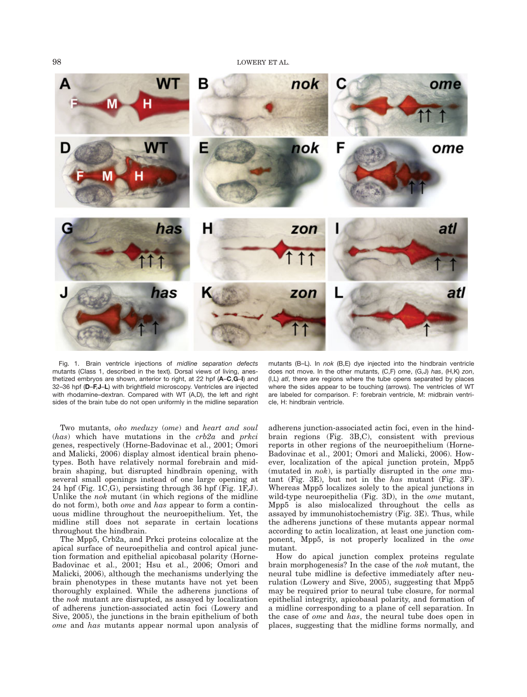98 LOWERY ET AL.



Fig. 1. Brain ventricle injections of midline separation defects mutants (Class 1, described in the text). Dorsal views of living, anesthetized embryos are shown, anterior to right, at 22 hpf (A–C,G–I) and 32–36 hpf (D–F,J–L) with brightfield microscopy. Ventricles are injected with rhodamine–dextran. Compared with WT (A,D), the left and right sides of the brain tube do not open uniformly in the midline separation

Two mutants, oko meduzy (ome) and heart and soul  $(has)$  which have mutations in the  $crb2a$  and  $prkci$ genes, respectively (Horne-Badovinac et al., 2001; Omori and Malicki, 2006) display almost identical brain phenotypes. Both have relatively normal forebrain and midbrain shaping, but disrupted hindbrain opening, with several small openings instead of one large opening at 24 hpf (Fig. 1C,G), persisting through 36 hpf (Fig. 1F,J). Unlike the nok mutant (in which regions of the midline do not form), both ome and has appear to form a continuous midline throughout the neuroepithelium. Yet, the midline still does not separate in certain locations throughout the hindbrain.

The Mpp5, Crb2a, and Prkci proteins colocalize at the apical surface of neuroepithelia and control apical junction formation and epithelial apicobasal polarity (Horne-Badovinac et al., 2001; Hsu et al., 2006; Omori and Malicki, 2006), although the mechanisms underlying the brain phenotypes in these mutants have not yet been thoroughly explained. While the adherens junctions of the nok mutant are disrupted, as assayed by localization of adherens junction-associated actin foci (Lowery and Sive, 2005), the junctions in the brain epithelium of both ome and has mutants appear normal upon analysis of

mutants (B–L). In nok (B,E) dye injected into the hindbrain ventricle does not move. In the other mutants, (C,F) ome, (G,J) has, (H,K) zon, (I,L) atl, there are regions where the tube opens separated by places where the sides appear to be touching (arrows). The ventricles of WT are labeled for comparison. F: forebrain ventricle, M: midbrain ventricle, H: hindbrain ventricle.

adherens junction-associated actin foci, even in the hindbrain regions (Fig. 3B,C), consistent with previous reports in other regions of the neuroepithelium (Horne-Badovinac et al., 2001; Omori and Malicki, 2006). However, localization of the apical junction protein, Mpp5 (mutated in nok), is partially disrupted in the ome mutant (Fig. 3E), but not in the has mutant (Fig. 3F). Whereas Mpp5 localizes solely to the apical junctions in wild-type neuroepithelia (Fig. 3D), in the *ome* mutant, Mpp5 is also mislocalized throughout the cells as assayed by immunohistochemistry (Fig. 3E). Thus, while the adherens junctions of these mutants appear normal according to actin localization, at least one junction component, Mpp5, is not properly localized in the ome mutant.

How do apical junction complex proteins regulate brain morphogenesis? In the case of the nok mutant, the neural tube midline is defective immediately after neurulation (Lowery and Sive, 2005), suggesting that Mpp5 may be required prior to neural tube closure, for normal epithelial integrity, apicobasal polarity, and formation of a midline corresponding to a plane of cell separation. In the case of ome and has, the neural tube does open in places, suggesting that the midline forms normally, and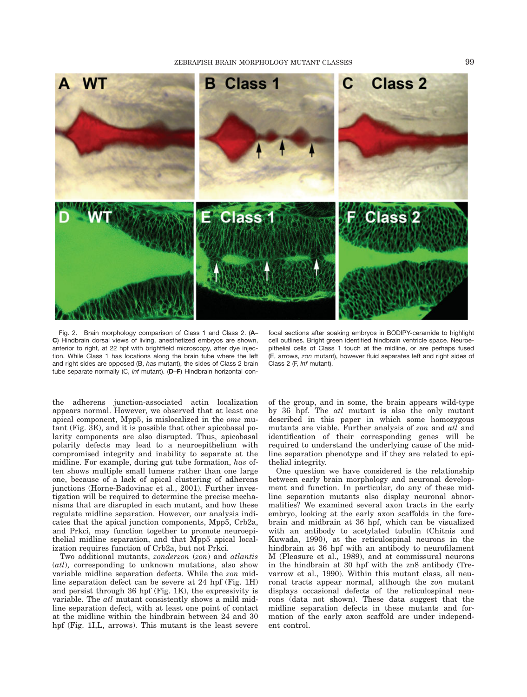

Fig. 2. Brain morphology comparison of Class 1 and Class 2. (A– C) Hindbrain dorsal views of living, anesthetized embryos are shown, anterior to right, at 22 hpf with brightfield microscopy, after dye injection. While Class 1 has locations along the brain tube where the left and right sides are opposed (B, has mutant), the sides of Class 2 brain tube separate normally (C, Inf mutant). (D-F) Hindbrain horizontal con-

focal sections after soaking embryos in BODIPY-ceramide to highlight cell outlines. Bright green identified hindbrain ventricle space. Neuroepithelial cells of Class 1 touch at the midline, or are perhaps fused (E, arrows, zon mutant), however fluid separates left and right sides of Class 2 (F, lnf mutant).

the adherens junction-associated actin localization appears normal. However, we observed that at least one apical component, Mpp5, is mislocalized in the ome mutant (Fig. 3E), and it is possible that other apicobasal polarity components are also disrupted. Thus, apicobasal polarity defects may lead to a neuroepithelium with compromised integrity and inability to separate at the midline. For example, during gut tube formation, has often shows multiple small lumens rather than one large one, because of a lack of apical clustering of adherens junctions (Horne-Badovinac et al., 2001). Further investigation will be required to determine the precise mechanisms that are disrupted in each mutant, and how these regulate midline separation. However, our analysis indicates that the apical junction components, Mpp5, Crb2a, and Prkci, may function together to promote neuroepithelial midline separation, and that Mpp5 apical localization requires function of Crb2a, but not Prkci.

Two additional mutants, *zonderzon* (*zon*) and *atlantis* (atl), corresponding to unknown mutations, also show variable midline separation defects. While the zon midline separation defect can be severe at 24 hpf (Fig. 1H) and persist through 36 hpf (Fig. 1K), the expressivity is variable. The *atl* mutant consistently shows a mild midline separation defect, with at least one point of contact at the midline within the hindbrain between 24 and 30 hpf (Fig. 1I,L, arrows). This mutant is the least severe

of the group, and in some, the brain appears wild-type by 36 hpf. The atl mutant is also the only mutant described in this paper in which some homozygous mutants are viable. Further analysis of zon and atl and identification of their corresponding genes will be required to understand the underlying cause of the midline separation phenotype and if they are related to epithelial integrity.

One question we have considered is the relationship between early brain morphology and neuronal development and function. In particular, do any of these midline separation mutants also display neuronal abnormalities? We examined several axon tracts in the early embryo, looking at the early axon scaffolds in the forebrain and midbrain at 36 hpf, which can be visualized with an antibody to acetylated tubulin (Chitnis and Kuwada, 1990), at the reticulospinal neurons in the hindbrain at 36 hpf with an antibody to neurofilament M (Pleasure et al., 1989), and at commissural neurons in the hindbrain at 30 hpf with the zn8 antibody (Trevarrow et al., 1990). Within this mutant class, all neuronal tracts appear normal, although the zon mutant displays occasional defects of the reticulospinal neurons (data not shown). These data suggest that the midline separation defects in these mutants and formation of the early axon scaffold are under independent control.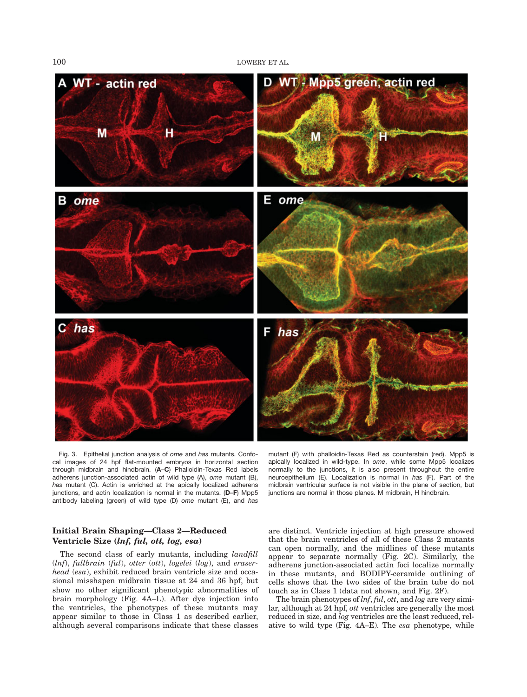100 LOWERY ET AL.



Fig. 3. Epithelial junction analysis of ome and has mutants. Confocal images of 24 hpf flat-mounted embryos in horizontal section through midbrain and hindbrain. (A–C) Phalloidin-Texas Red labels adherens junction-associated actin of wild type (A), ome mutant (B), has mutant (C). Actin is enriched at the apically localized adherens junctions, and actin localization is normal in the mutants. (D-F) Mpp5 antibody labeling (green) of wild type (D) ome mutant (E), and has

mutant (F) with phalloidin-Texas Red as counterstain (red). Mpp5 is apically localized in wild-type. In ome, while some Mpp5 localizes normally to the junctions, it is also present throughout the entire neuroepithelium (E). Localization is normal in has (F). Part of the midbrain ventricular surface is not visible in the plane of section, but junctions are normal in those planes. M midbrain, H hindbrain.

# Initial Brain Shaping—Class 2—Reduced Ventricle Size (lnf, ful, ott, log, esa)

The second class of early mutants, including *landfill* (lnf), fullbrain (ful), otter (ott), logelei (log), and eraserhead (esa), exhibit reduced brain ventricle size and occasional misshapen midbrain tissue at 24 and 36 hpf, but show no other significant phenotypic abnormalities of brain morphology (Fig. 4A–L). After dye injection into the ventricles, the phenotypes of these mutants may appear similar to those in Class 1 as described earlier, although several comparisons indicate that these classes

are distinct. Ventricle injection at high pressure showed that the brain ventricles of all of these Class 2 mutants can open normally, and the midlines of these mutants appear to separate normally (Fig. 2C). Similarly, the adherens junction-associated actin foci localize normally in these mutants, and BODIPY-ceramide outlining of cells shows that the two sides of the brain tube do not touch as in Class 1 (data not shown, and Fig. 2F).

The brain phenotypes of  $lnf, ful, ott,$  and  $log$  are very similar, although at 24 hpf, ott ventricles are generally the most reduced in size, and  $log$  ventricles are the least reduced, relative to wild type (Fig. 4A–E). The esa phenotype, while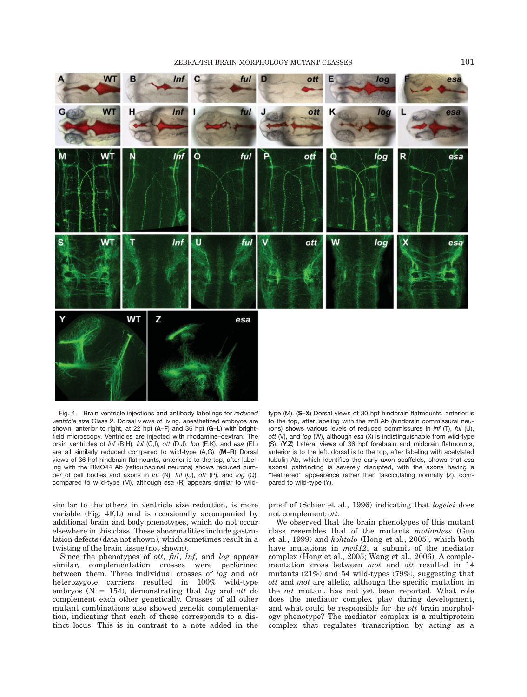

Fig. 4. Brain ventricle injections and antibody labelings for reduced ventricle size Class 2. Dorsal views of living, anesthetized embryos are shown, anterior to right, at 22 hpf (A-F) and 36 hpf (G-L) with brightfield microscopy. Ventricles are injected with rhodamine–dextran. The brain ventricles of Inf (B,H), ful (C,I), ott (D,J), log (E,K), and esa (F,L) are all similarly reduced compared to wild-type (A,G). (M–R) Dorsal views of 36 hpf hindbrain flatmounts, anterior is to the top, after labeling with the RMO44 Ab (reticulospinal neurons) shows reduced number of cell bodies and axons in Inf (N), ful (O), ott (P), and log (Q), compared to wild-type (M), although esa (R) appears similar to wild-

similar to the others in ventricle size reduction, is more variable (Fig. 4F,L) and is occasionally accompanied by additional brain and body phenotypes, which do not occur elsewhere in this class. These abnormalities include gastrulation defects (data not shown), which sometimes result in a twisting of the brain tissue (not shown).

Since the phenotypes of ott, ful, lnf, and log appear similar, complementation crosses were performed between them. Three individual crosses of log and ott heterozygote carriers resulted in 100% wild-type embryos ( $N = 154$ ), demonstrating that log and ott do complement each other genetically. Crosses of all other mutant combinations also showed genetic complementation, indicating that each of these corresponds to a distinct locus. This is in contrast to a note added in the

type (M). (S–X) Dorsal views of 30 hpf hindbrain flatmounts, anterior is to the top, after labeling with the zn8 Ab (hindbrain commissural neurons) shows various levels of reduced commissures in Inf (T), ful (U), ott (V), and log (W), although esa (X) is indistinguishable from wild-type (S). (Y,Z) Lateral views of 36 hpf forebrain and midbrain flatmounts, anterior is to the left, dorsal is to the top, after labeling with acetylated tubulin Ab, which identifies the early axon scaffolds, shows that esa axonal pathfinding is severely disrupted, with the axons having a "feathered" appearance rather than fasciculating normally (Z), compared to wild-type (Y).

proof of (Schier et al., 1996) indicating that logelei does not complement ott.

We observed that the brain phenotypes of this mutant class resembles that of the mutants motionless (Guo et al., 1999) and kohtalo (Hong et al., 2005), which both have mutations in med12, a subunit of the mediator complex (Hong et al., 2005; Wang et al., 2006). A complementation cross between mot and ott resulted in 14 mutants (21%) and 54 wild-types (79%), suggesting that ott and mot are allelic, although the specific mutation in the ott mutant has not yet been reported. What role does the mediator complex play during development, and what could be responsible for the ott brain morphology phenotype? The mediator complex is a multiprotein complex that regulates transcription by acting as a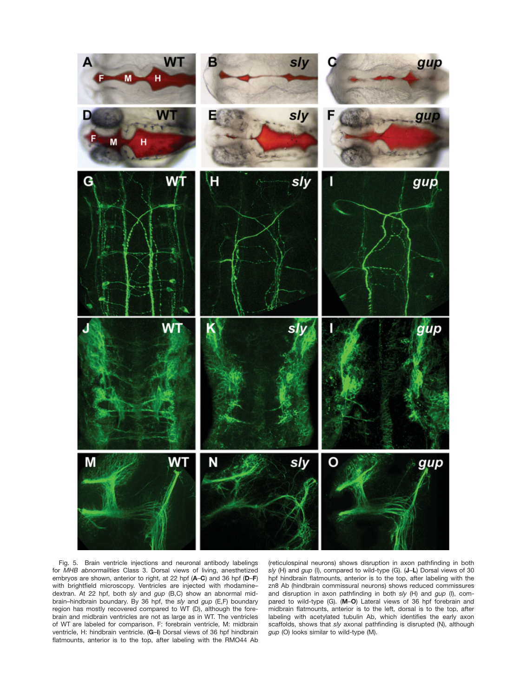

Fig. 5. Brain ventricle injections and neuronal antibody labelings for MHB abnormalities Class 3. Dorsal views of living, anesthetized embryos are shown, anterior to right, at 22 hpf (A–C) and 36 hpf (D–F) with brightfield microscopy. Ventricles are injected with rhodaminedextran. At 22 hpf, both sly and gup (B,C) show an abnormal midbrain–hindbrain boundary. By 36 hpf, the sly and gup (E,F) boundary region has mostly recovered compared to WT (D), although the forebrain and midbrain ventricles are not as large as in WT. The ventricles of WT are labeled for comparison. F: forebrain ventricle, M: midbrain ventricle, H: hindbrain ventricle. (G–I) Dorsal views of 36 hpf hindbrain flatmounts, anterior is to the top, after labeling with the RMO44 Ab

(reticulospinal neurons) shows disruption in axon pathfinding in both sly (H) and gup (I), compared to wild-type (G). (J-L) Dorsal views of 30 hpf hindbrain flatmounts, anterior is to the top, after labeling with the zn8 Ab (hindbrain commissural neurons) shows reduced commissures and disruption in axon pathfinding in both sly (H) and  $gup$  (I), compared to wild-type (G). (M–O) Lateral views of 36 hpf forebrain and midbrain flatmounts, anterior is to the left, dorsal is to the top, after labeling with acetylated tubulin Ab, which identifies the early axon scaffolds, shows that sly axonal pathfinding is disrupted (N), although gup (O) looks similar to wild-type (M).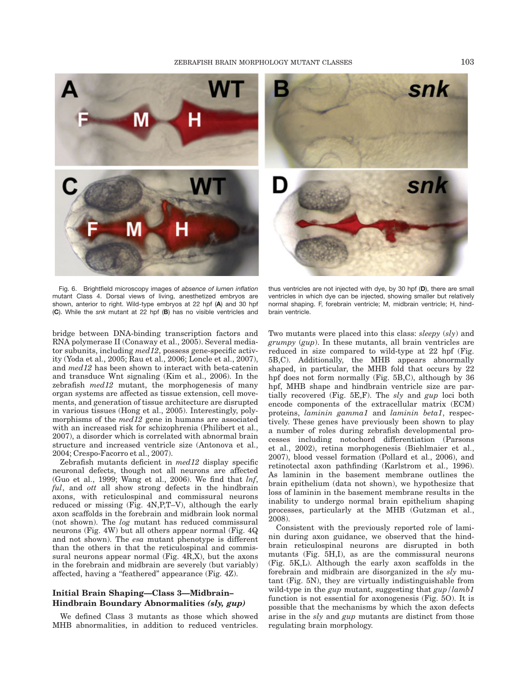

Fig. 6. Brightfield microscopy images of absence of lumen inflation mutant Class 4. Dorsal views of living, anesthetized embryos are shown, anterior to right. Wild-type embryos at 22 hpf (A) and 30 hpf (C). While the snk mutant at 22 hpf (B) has no visible ventricles and

bridge between DNA-binding transcription factors and RNA polymerase II (Conaway et al., 2005). Several mediator subunits, including med12, possess gene-specific activity (Yoda et al., 2005; Rau et al., 2006; Loncle et al., 2007), and med12 has been shown to interact with beta-catenin and transduce Wnt signaling (Kim et al., 2006). In the zebrafish *med12* mutant, the morphogenesis of many organ systems are affected as tissue extension, cell movements, and generation of tissue architecture are disrupted in various tissues (Hong et al., 2005). Interestingly, polymorphisms of the *med12* gene in humans are associated with an increased risk for schizophrenia (Philibert et al., 2007), a disorder which is correlated with abnormal brain structure and increased ventricle size (Antonova et al., 2004; Crespo-Facorro et al., 2007).

Zebrafish mutants deficient in med12 display specific neuronal defects, though not all neurons are affected (Guo et al., 1999; Wang et al., 2006). We find that  $lnf$ , ful, and ott all show strong defects in the hindbrain axons, with reticulospinal and commissural neurons reduced or missing (Fig. 4N,P,T–V), although the early axon scaffolds in the forebrain and midbrain look normal (not shown). The log mutant has reduced commissural neurons (Fig. 4W) but all others appear normal (Fig. 4Q and not shown). The esa mutant phenotype is different than the others in that the reticulospinal and commissural neurons appear normal (Fig. 4R,X), but the axons in the forebrain and midbrain are severely (but variably) affected, having a ''feathered'' appearance (Fig. 4Z).

# Initial Brain Shaping—Class 3—Midbrain– Hindbrain Boundary Abnormalities (sly, gup)

We defined Class 3 mutants as those which showed MHB abnormalities, in addition to reduced ventricles.

thus ventricles are not injected with dye, by 30 hpf (D), there are small ventricles in which dye can be injected, showing smaller but relatively normal shaping. F, forebrain ventricle; M, midbrain ventricle; H, hindbrain ventricle.

Two mutants were placed into this class: *sleepy* (*sly*) and grumpy (gup). In these mutants, all brain ventricles are reduced in size compared to wild-type at 22 hpf (Fig. 5B,C). Additionally, the MHB appears abnormally shaped, in particular, the MHB fold that occurs by 22 hpf does not form normally (Fig. 5B,C), although by 36 hpf, MHB shape and hindbrain ventricle size are partially recovered (Fig.  $5E, F$ ). The sly and  $gup$  loci both encode components of the extracellular matrix (ECM) proteins, laminin gamma1 and laminin beta1, respectively. These genes have previously been shown to play a number of roles during zebrafish developmental processes including notochord differentiation (Parsons et al., 2002), retina morphogenesis (Biehlmaier et al., 2007), blood vessel formation (Pollard et al., 2006), and retinotectal axon pathfinding (Karlstrom et al., 1996). As laminin in the basement membrane outlines the brain epithelium (data not shown), we hypothesize that loss of laminin in the basement membrane results in the inability to undergo normal brain epithelium shaping processes, particularly at the MHB (Gutzman et al., 2008).

Consistent with the previously reported role of laminin during axon guidance, we observed that the hindbrain reticulospinal neurons are disrupted in both mutants (Fig. 5H,I), as are the commissural neurons (Fig. 5K,L). Although the early axon scaffolds in the forebrain and midbrain are disorganized in the sly mutant (Fig. 5N), they are virtually indistinguishable from wild-type in the *gup* mutant, suggesting that  $\frac{g}{\mu}$  lamb1 function is not essential for axonogenesis (Fig. 5O). It is possible that the mechanisms by which the axon defects arise in the sly and gup mutants are distinct from those regulating brain morphology.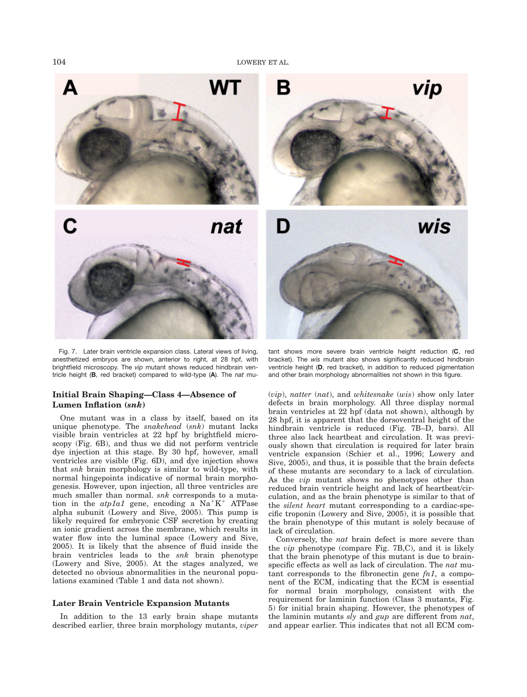

Fig. 7. Later brain ventricle expansion class. Lateral views of living, anesthetized embryos are shown, anterior to right, at 28 hpf, with brightfield microscopy. The vip mutant shows reduced hindbrain ventricle height (B, red bracket) compared to wild-type (A). The nat mu-

# Initial Brain Shaping—Class 4—Absence of Lumen Inflation (snk)

One mutant was in a class by itself, based on its unique phenotype. The snakehead  $(snk)$  mutant lacks visible brain ventricles at 22 hpf by brightfield microscopy (Fig. 6B), and thus we did not perform ventricle dye injection at this stage. By 30 hpf, however, small ventricles are visible (Fig. 6D), and dye injection shows that snk brain morphology is similar to wild-type, with normal hingepoints indicative of normal brain morphogenesis. However, upon injection, all three ventricles are much smaller than normal. snk corresponds to a mutation in the  $atpla1$  gene, encoding a  $Na<sup>+</sup>K<sup>+</sup>$  ATPase alpha subunit (Lowery and Sive, 2005). This pump is likely required for embryonic CSF secretion by creating an ionic gradient across the membrane, which results in water flow into the luminal space (Lowery and Sive, 2005). It is likely that the absence of fluid inside the brain ventricles leads to the snk brain phenotype (Lowery and Sive, 2005). At the stages analyzed, we detected no obvious abnormalities in the neuronal populations examined (Table 1 and data not shown).

## Later Brain Ventricle Expansion Mutants

In addition to the 13 early brain shape mutants described earlier, three brain morphology mutants, viper

tant shows more severe brain ventricle height reduction (C, red bracket). The wis mutant also shows significantly reduced hindbrain ventricle height (D, red bracket), in addition to reduced pigmentation and other brain morphology abnormalities not shown in this figure.

(vip), natter (nat), and whitesnake (wis) show only later defects in brain morphology. All three display normal brain ventricles at 22 hpf (data not shown), although by 28 hpf, it is apparent that the dorsoventral height of the hindbrain ventricle is reduced (Fig. 7B–D, bars). All three also lack heartbeat and circulation. It was previously shown that circulation is required for later brain ventricle expansion (Schier et al., 1996; Lowery and Sive, 2005), and thus, it is possible that the brain defects of these mutants are secondary to a lack of circulation. As the vip mutant shows no phenotypes other than reduced brain ventricle height and lack of heartbeat/circulation, and as the brain phenotype is similar to that of the silent heart mutant corresponding to a cardiac-specific troponin (Lowery and Sive, 2005), it is possible that the brain phenotype of this mutant is solely because of lack of circulation.

Conversely, the nat brain defect is more severe than the vip phenotype (compare Fig. 7B,C), and it is likely that the brain phenotype of this mutant is due to brainspecific effects as well as lack of circulation. The nat mutant corresponds to the fibronectin gene  $fn1$ , a component of the ECM, indicating that the ECM is essential for normal brain morphology, consistent with the requirement for laminin function (Class 3 mutants, Fig. 5) for initial brain shaping. However, the phenotypes of the laminin mutants sly and gup are different from nat, and appear earlier. This indicates that not all ECM com-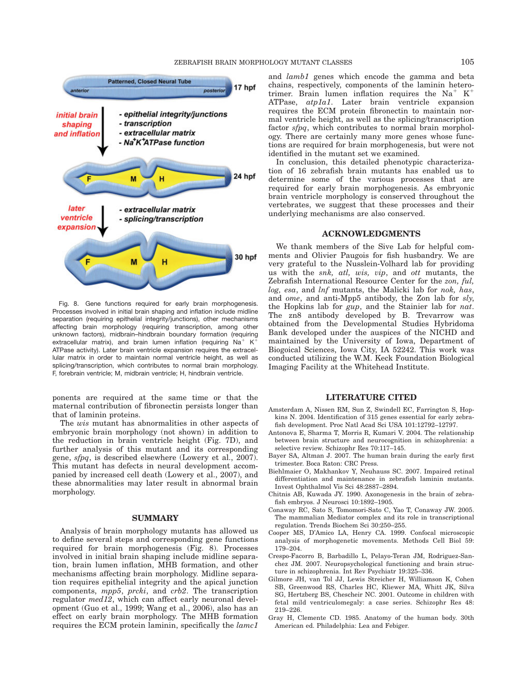

Fig. 8. Gene functions required for early brain morphogenesis. Processes involved in initial brain shaping and inflation include midline separation (requiring epithelial integrity/junctions), other mechanisms affecting brain morphology (requiring transcription, among other unknown factors), midbrain–hindbrain boundary formation (requiring extracellular matrix), and brain lumen inflation (requiring  $Na^+$  K<sup>1</sup> ATPase activity). Later brain ventricle expansion requires the extracellular matrix in order to maintain normal ventricle height, as well as splicing/transcription, which contributes to normal brain morphology. F, forebrain ventricle; M, midbrain ventricle; H, hindbrain ventricle.

ponents are required at the same time or that the maternal contribution of fibronectin persists longer than that of laminin proteins.

The wis mutant has abnormalities in other aspects of embryonic brain morphology (not shown) in addition to the reduction in brain ventricle height (Fig. 7D), and further analysis of this mutant and its corresponding gene, sfpq, is described elsewhere (Lowery et al., 2007). This mutant has defects in neural development accompanied by increased cell death (Lowery et al., 2007), and these abnormalities may later result in abnormal brain morphology.

### **SUMMARY**

Analysis of brain morphology mutants has allowed us to define several steps and corresponding gene functions required for brain morphogenesis (Fig. 8). Processes involved in initial brain shaping include midline separation, brain lumen inflation, MHB formation, and other mechanisms affecting brain morphology. Midline separation requires epithelial integrity and the apical junction components, mpp5, prcki, and crb2. The transcription regulator med12, which can affect early neuronal development (Guo et al., 1999; Wang et al., 2006), also has an effect on early brain morphology. The MHB formation requires the ECM protein laminin, specifically the lamc1

and lamb1 genes which encode the gamma and beta chains, respectively, components of the laminin heterotrimer. Brain lumen inflation requires the  $Na^+$  K<sup>+</sup> ATPase, atp1a1. Later brain ventricle expansion requires the ECM protein fibronectin to maintain normal ventricle height, as well as the splicing/transcription factor sfpq, which contributes to normal brain morphology. There are certainly many more genes whose functions are required for brain morphogenesis, but were not identified in the mutant set we examined.

In conclusion, this detailed phenotypic characterization of 16 zebrafish brain mutants has enabled us to determine some of the various processes that are required for early brain morphogenesis. As embryonic brain ventricle morphology is conserved throughout the vertebrates, we suggest that these processes and their underlying mechanisms are also conserved.

#### ACKNOWLEDGMENTS

We thank members of the Sive Lab for helpful comments and Olivier Paugois for fish husbandry. We are very grateful to the Nusslein-Volhard lab for providing us with the snk, atl, wis, vip, and ott mutants, the Zebrafish International Resource Center for the zon, ful, log, esa, and lnf mutants, the Malicki lab for nok, has, and ome, and anti-Mpp5 antibody, the Zon lab for sly, the Hopkins lab for gup, and the Stainier lab for nat. The zn8 antibody developed by B. Trevarrow was obtained from the Developmental Studies Hybridoma Bank developed under the auspices of the NICHD and maintained by the University of Iowa, Department of Biogoical Sciences, Iowa City, IA 52242. This work was conducted utilizing the W.M. Keck Foundation Biological Imaging Facility at the Whitehead Institute.

## LITERATURE CITED

- Amsterdam A, Nissen RM, Sun Z, Swindell EC, Farrington S, Hopkins N. 2004. Identification of 315 genes essential for early zebrafish development. Proc Natl Acad Sci USA 101:12792–12797.
- Antonova E, Sharma T, Morris R, Kumari V. 2004. The relationship between brain structure and neurocognition in schizophrenia: a selective review. Schizophr Res 70:117–145.
- Bayer SA, Altman J. 2007. The human brain during the early first trimester. Boca Raton: CRC Press.
- Biehlmaier O, Makhankov Y, Neuhauss SC. 2007. Impaired retinal differentiation and maintenance in zebrafish laminin mutants. Invest Ophthalmol Vis Sci 48:2887–2894.
- Chitnis AB, Kuwada JY. 1990. Axonogenesis in the brain of zebrafish embryos. J Neurosci 10:1892–1905.
- Conaway RC, Sato S, Tomomori-Sato C, Yao T, Conaway JW. 2005. The mammalian Mediator complex and its role in transcriptional regulation. Trends Biochem Sci 30:250–255.
- Cooper MS, D'Amico LA, Henry CA. 1999. Confocal microscopic analysis of morphogenetic movements. Methods Cell Biol 59: 179–204.
- Crespo-Facorro B, Barbadillo L, Pelayo-Teran JM, Rodriguez-Sanchez JM. 2007. Neuropsychological functioning and brain structure in schizophrenia. Int Rev Psychiatr 19:325–336.
- Gilmore JH, van Tol JJ, Lewis Streicher H, Williamson K, Cohen SB, Greenwood RS, Charles HC, Kliewer MA, Whitt JK, Silva SG, Hertzberg BS, Chescheir NC. 2001. Outcome in children with fetal mild ventriculomegaly: a case series. Schizophr Res 48: 219–226.
- Gray H, Clemente CD. 1985. Anatomy of the human body. 30th American ed. Philadelphia: Lea and Febiger.